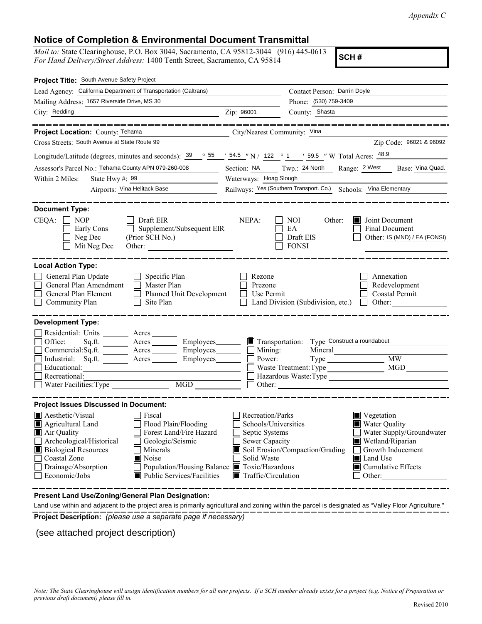*Appendix C*

## **Notice of Completion & Environmental Document Transmittal**

*Mail to:* State Clearinghouse, P.O. Box 3044, Sacramento, CA 95812-3044 (916) 445-0613 *For Hand Delivery/Street Address:* 1400 Tenth Street, Sacramento, CA 95814

**SCH #**

| Project Title: South Avenue Safety Project                                                                                                                                                                                                                                                                                                                  |                                                                                                                                                                                                                                                                                                                                                       |                                                                  |                                                         |  |
|-------------------------------------------------------------------------------------------------------------------------------------------------------------------------------------------------------------------------------------------------------------------------------------------------------------------------------------------------------------|-------------------------------------------------------------------------------------------------------------------------------------------------------------------------------------------------------------------------------------------------------------------------------------------------------------------------------------------------------|------------------------------------------------------------------|---------------------------------------------------------|--|
| Lead Agency: California Department of Transportation (Caltrans)                                                                                                                                                                                                                                                                                             |                                                                                                                                                                                                                                                                                                                                                       | Contact Person: Darrin Doyle                                     |                                                         |  |
| Mailing Address: 1657 Riverside Drive, MS 30                                                                                                                                                                                                                                                                                                                |                                                                                                                                                                                                                                                                                                                                                       | Phone: (530) 759-3409                                            |                                                         |  |
| City: Redding                                                                                                                                                                                                                                                                                                                                               | Zip: 96001                                                                                                                                                                                                                                                                                                                                            | County: Shasta                                                   |                                                         |  |
| Project Location: County: Tehama                                                                                                                                                                                                                                                                                                                            | City/Nearest Community: Vina                                                                                                                                                                                                                                                                                                                          |                                                                  |                                                         |  |
| Cross Streets: South Avenue at State Route 99                                                                                                                                                                                                                                                                                                               |                                                                                                                                                                                                                                                                                                                                                       |                                                                  | Zip Code: 96021 & 96092                                 |  |
| Longitude/Latitude (degrees, minutes and seconds): $\frac{39}{55}$ $\frac{55}{5}$ $\frac{7}{54.5}$ $\frac{7}{54}$ N / 122 ° 1 $\frac{7}{59.5}$ $\frac{7}{59.5}$ $\frac{7}{59.5}$ W Total Acres: $\frac{48.9}{59.5}$                                                                                                                                         |                                                                                                                                                                                                                                                                                                                                                       |                                                                  |                                                         |  |
| Assessor's Parcel No.: Tehama County APN 079-260-008                                                                                                                                                                                                                                                                                                        | Section: NA Twp.: 24 North                                                                                                                                                                                                                                                                                                                            |                                                                  | Range: 2 West<br>Base: Vina Quad.                       |  |
| Within 2 Miles:<br>State Hwy #: $99$<br><u> 1980 - John Barn Barn, mars and de la partie de la partie de la partie de la partie de la partie de la partie</u>                                                                                                                                                                                               | Waterways: Hoag Slough                                                                                                                                                                                                                                                                                                                                |                                                                  |                                                         |  |
| Airports: Vina Helitack Base                                                                                                                                                                                                                                                                                                                                | Railways: Yes (Southern Transport. Co.) Schools: Vina Elementary                                                                                                                                                                                                                                                                                      |                                                                  |                                                         |  |
| <b>Document Type:</b><br>CEQA:<br><b>NOP</b><br>Draft EIR                                                                                                                                                                                                                                                                                                   | NEPA:                                                                                                                                                                                                                                                                                                                                                 | NOI<br>Other:                                                    | Joint Document                                          |  |
| Supplement/Subsequent EIR<br>Early Cons<br>Neg Dec<br>(Prior SCH No.)<br>Mit Neg Dec<br>Other:                                                                                                                                                                                                                                                              |                                                                                                                                                                                                                                                                                                                                                       | EA<br>Draft EIS<br><b>FONSI</b>                                  | Final Document<br>Other: IS (MND) / EA (FONSI)          |  |
| <b>Local Action Type:</b>                                                                                                                                                                                                                                                                                                                                   |                                                                                                                                                                                                                                                                                                                                                       |                                                                  |                                                         |  |
| General Plan Update<br>Specific Plan<br>General Plan Amendment<br>Master Plan<br>General Plan Element<br>Planned Unit Development<br>Community Plan<br>Site Plan                                                                                                                                                                                            | Rezone<br>Prezone<br>Use Permit                                                                                                                                                                                                                                                                                                                       | Land Division (Subdivision, etc.)                                | Annexation<br>Redevelopment<br>Coastal Permit<br>Other: |  |
| <b>Development Type:</b><br>Residential: Units ________ Acres _______<br>Office:<br>Sq.ft.<br>Acres __________ Employees________<br>Commercial:Sq.ft.<br>Employees________<br>$A$ cres $\_\_\_\_\_\_\_\_\$<br>Industrial: $Sq.fit.$ Acres<br>Employees________<br>Educational:<br>Recreational:<br>MGD <sup>1</sup><br>Water Facilities: Type               | $\Box$ Mining:<br>Power:                                                                                                                                                                                                                                                                                                                              | Transportation: Type Construct a roundabout<br>Mineral<br>Other: | <b>MW</b><br>MGD<br>Hazardous Waste:Type                |  |
| <b>Project Issues Discussed in Document:</b>                                                                                                                                                                                                                                                                                                                |                                                                                                                                                                                                                                                                                                                                                       |                                                                  |                                                         |  |
| Aesthetic/Visual<br>Fiscal<br>Flood Plain/Flooding<br>Agricultural Land<br>Air Quality<br>Forest Land/Fire Hazard<br>Archeological/Historical<br>Geologic/Seismic<br><b>Biological Resources</b><br>Minerals<br>Coastal Zone<br>Noise<br>Population/Housing Balance ■ Toxic/Hazardous<br>Drainage/Absorption<br>Economic/Jobs<br>Public Services/Facilities | Recreation/Parks<br>■ Vegetation<br>Schools/Universities<br><b>Water Quality</b><br>Water Supply/Groundwater<br>Septic Systems<br>Sewer Capacity<br>Wetland/Riparian<br>Soil Erosion/Compaction/Grading<br>Growth Inducement<br>Solid Waste<br><b>■</b> Land Use<br>$\blacksquare$ Cumulative Effects<br>$\blacksquare$ Traffic/Circulation<br>Other: |                                                                  |                                                         |  |

**Present Land Use/Zoning/General Plan Designation:**

**Project Description:** *(please use a separate page if necessary)* Land use within and adjacent to the project area is primarily agricultural and zoning within the parcel is designated as "Valley Floor Agriculture."

(see attached project description)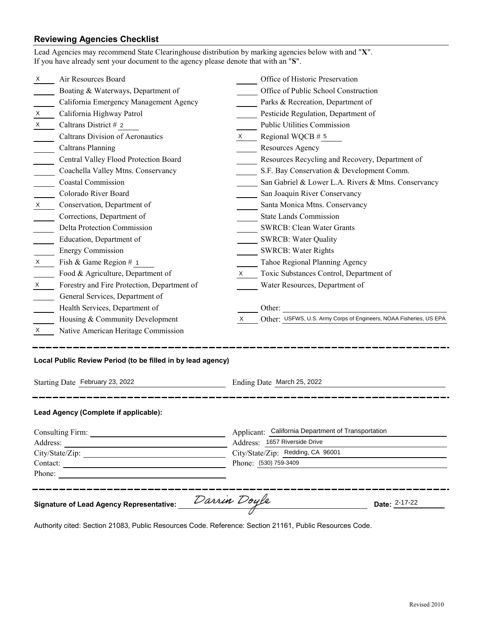# **Reviewing Agencies Checklist**

|                                                                                  | Lead Agencies may recommend State Clearinghouse distribution by marking agencies below with and "X".<br>If you have already sent your document to the agency please denote that with an "S".                                  |                                   |                                                                               |  |  |
|----------------------------------------------------------------------------------|-------------------------------------------------------------------------------------------------------------------------------------------------------------------------------------------------------------------------------|-----------------------------------|-------------------------------------------------------------------------------|--|--|
| X                                                                                | Air Resources Board                                                                                                                                                                                                           |                                   | Office of Historic Preservation                                               |  |  |
|                                                                                  | Boating & Waterways, Department of                                                                                                                                                                                            |                                   | Office of Public School Construction                                          |  |  |
|                                                                                  | California Emergency Management Agency                                                                                                                                                                                        |                                   | Parks & Recreation, Department of                                             |  |  |
| X                                                                                | California Highway Patrol                                                                                                                                                                                                     |                                   | Pesticide Regulation, Department of                                           |  |  |
| X                                                                                | Caltrans District # 2                                                                                                                                                                                                         |                                   | Public Utilities Commission                                                   |  |  |
|                                                                                  | Caltrans Division of Aeronautics                                                                                                                                                                                              | $\boldsymbol{\mathsf{X}}$         | Regional WQCB $# 5$                                                           |  |  |
|                                                                                  | <b>Caltrans Planning</b>                                                                                                                                                                                                      |                                   | Resources Agency                                                              |  |  |
|                                                                                  | Central Valley Flood Protection Board                                                                                                                                                                                         |                                   | Resources Recycling and Recovery, Department of                               |  |  |
|                                                                                  | Coachella Valley Mtns. Conservancy                                                                                                                                                                                            |                                   | S.F. Bay Conservation & Development Comm.                                     |  |  |
|                                                                                  | Coastal Commission                                                                                                                                                                                                            |                                   | San Gabriel & Lower L.A. Rivers & Mtns. Conservancy                           |  |  |
|                                                                                  | Colorado River Board                                                                                                                                                                                                          |                                   | San Joaquin River Conservancy                                                 |  |  |
| $\boldsymbol{X}$                                                                 | Conservation, Department of                                                                                                                                                                                                   |                                   | Santa Monica Mtns. Conservancy                                                |  |  |
|                                                                                  | Corrections, Department of                                                                                                                                                                                                    |                                   | <b>State Lands Commission</b>                                                 |  |  |
|                                                                                  | Delta Protection Commission                                                                                                                                                                                                   |                                   | SWRCB: Clean Water Grants                                                     |  |  |
|                                                                                  | Education, Department of                                                                                                                                                                                                      |                                   | SWRCB: Water Quality                                                          |  |  |
|                                                                                  | <b>Energy Commission</b>                                                                                                                                                                                                      |                                   | <b>SWRCB: Water Rights</b>                                                    |  |  |
| X                                                                                | Fish & Game Region # 1                                                                                                                                                                                                        |                                   | Tahoe Regional Planning Agency                                                |  |  |
|                                                                                  | Food & Agriculture, Department of                                                                                                                                                                                             | X.                                | Toxic Substances Control, Department of                                       |  |  |
| X                                                                                | Forestry and Fire Protection, Department of                                                                                                                                                                                   |                                   | Water Resources, Department of                                                |  |  |
|                                                                                  | General Services, Department of                                                                                                                                                                                               |                                   |                                                                               |  |  |
|                                                                                  | Health Services, Department of                                                                                                                                                                                                |                                   | <u> 1989 - Johann Stein, mars an deus Amerikaansk kommunister (</u><br>Other: |  |  |
|                                                                                  | Housing & Community Development                                                                                                                                                                                               | X                                 | Other: USFWS, U.S. Army Corps of Engineers, NOAA Fisheries, US EPA            |  |  |
| X.                                                                               | Native American Heritage Commission                                                                                                                                                                                           |                                   |                                                                               |  |  |
| Local Public Review Period (to be filled in by lead agency)                      |                                                                                                                                                                                                                               |                                   |                                                                               |  |  |
|                                                                                  | Starting Date February 23, 2022<br>Ending Date March 25, 2022                                                                                                                                                                 |                                   |                                                                               |  |  |
|                                                                                  | Lead Agency (Complete if applicable):                                                                                                                                                                                         |                                   |                                                                               |  |  |
| Applicant: California Department of Transportation                               |                                                                                                                                                                                                                               |                                   |                                                                               |  |  |
|                                                                                  |                                                                                                                                                                                                                               |                                   | Address: 1657 Riverside Drive                                                 |  |  |
|                                                                                  |                                                                                                                                                                                                                               | City/State/Zip: Redding, CA 96001 |                                                                               |  |  |
|                                                                                  |                                                                                                                                                                                                                               | Phone: (530) 759-3409             |                                                                               |  |  |
| Phone:                                                                           | the control of the control of the control of the control of the control of the control of the control of the control of the control of the control of the control of the control of the control of the control of the control |                                   |                                                                               |  |  |
| Darrin Doyle<br>Date: 2-17-22<br><b>Signature of Lead Agency Representative:</b> |                                                                                                                                                                                                                               |                                   |                                                                               |  |  |

Authority cited: Section 21083, Public Resources Code. Reference: Section 21161, Public Resources Code.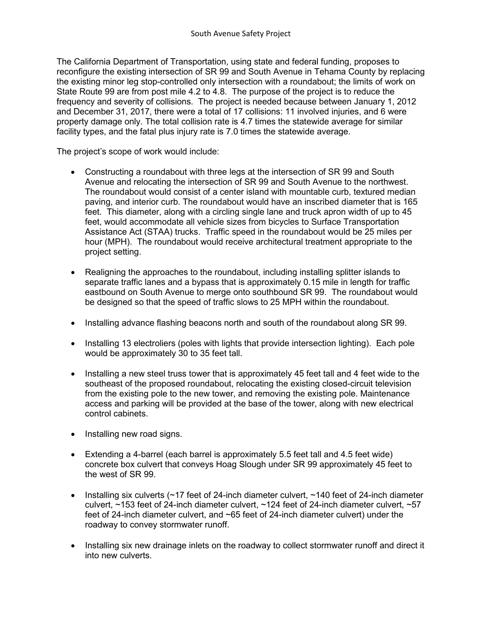The California Department of Transportation, using state and federal funding, proposes to reconfigure the existing intersection of SR 99 and South Avenue in Tehama County by replacing the existing minor leg stop-controlled only intersection with a roundabout; the limits of work on State Route 99 are from post mile 4.2 to 4.8. The purpose of the project is to reduce the frequency and severity of collisions. The project is needed because between January 1, 2012 and December 31, 2017, there were a total of 17 collisions: 11 involved injuries, and 6 were property damage only. The total collision rate is 4.7 times the statewide average for similar facility types, and the fatal plus injury rate is 7.0 times the statewide average.

The project's scope of work would include:

- Constructing a roundabout with three legs at the intersection of SR 99 and South Avenue and relocating the intersection of SR 99 and South Avenue to the northwest. The roundabout would consist of a center island with mountable curb, textured median paving, and interior curb. The roundabout would have an inscribed diameter that is 165 feet. This diameter, along with a circling single lane and truck apron width of up to 45 feet, would accommodate all vehicle sizes from bicycles to Surface Transportation Assistance Act (STAA) trucks. Traffic speed in the roundabout would be 25 miles per hour (MPH). The roundabout would receive architectural treatment appropriate to the project setting.
- Realigning the approaches to the roundabout, including installing splitter islands to separate traffic lanes and a bypass that is approximately 0.15 mile in length for traffic eastbound on South Avenue to merge onto southbound SR 99. The roundabout would be designed so that the speed of traffic slows to 25 MPH within the roundabout.
- Installing advance flashing beacons north and south of the roundabout along SR 99.
- Installing 13 electroliers (poles with lights that provide intersection lighting). Each pole would be approximately 30 to 35 feet tall.
- Installing a new steel truss tower that is approximately 45 feet tall and 4 feet wide to the southeast of the proposed roundabout, relocating the existing closed-circuit television from the existing pole to the new tower, and removing the existing pole. Maintenance access and parking will be provided at the base of the tower, along with new electrical control cabinets.
- Installing new road signs.
- Extending a 4-barrel (each barrel is approximately 5.5 feet tall and 4.5 feet wide) concrete box culvert that conveys Hoag Slough under SR 99 approximately 45 feet to the west of SR 99.
- Installing six culverts  $\sim$  17 feet of 24-inch diameter culvert,  $\sim$  140 feet of 24-inch diameter culvert, ~153 feet of 24-inch diameter culvert, ~124 feet of 24-inch diameter culvert, ~57 feet of 24-inch diameter culvert, and ~65 feet of 24-inch diameter culvert) under the roadway to convey stormwater runoff.
- Installing six new drainage inlets on the roadway to collect stormwater runoff and direct it into new culverts.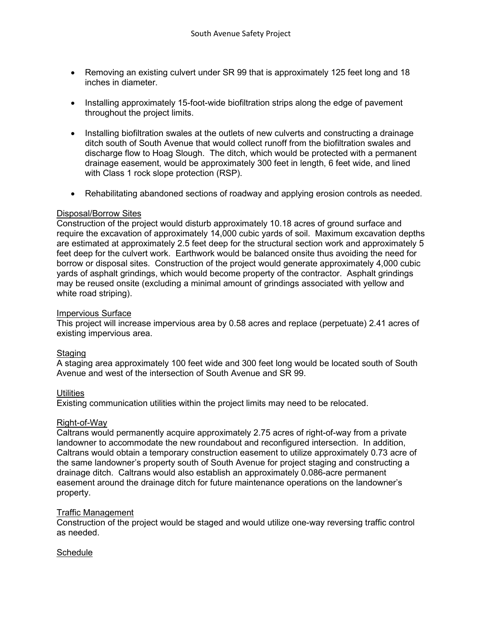- Removing an existing culvert under SR 99 that is approximately 125 feet long and 18 inches in diameter.
- Installing approximately 15-foot-wide biofiltration strips along the edge of pavement throughout the project limits.
- Installing biofiltration swales at the outlets of new culverts and constructing a drainage ditch south of South Avenue that would collect runoff from the biofiltration swales and discharge flow to Hoag Slough. The ditch, which would be protected with a permanent drainage easement, would be approximately 300 feet in length, 6 feet wide, and lined with Class 1 rock slope protection (RSP).
- Rehabilitating abandoned sections of roadway and applying erosion controls as needed.

### Disposal/Borrow Sites

Construction of the project would disturb approximately 10.18 acres of ground surface and require the excavation of approximately 14,000 cubic yards of soil. Maximum excavation depths are estimated at approximately 2.5 feet deep for the structural section work and approximately 5 feet deep for the culvert work. Earthwork would be balanced onsite thus avoiding the need for borrow or disposal sites. Construction of the project would generate approximately 4,000 cubic yards of asphalt grindings, which would become property of the contractor. Asphalt grindings may be reused onsite (excluding a minimal amount of grindings associated with yellow and white road striping).

#### Impervious Surface

This project will increase impervious area by 0.58 acres and replace (perpetuate) 2.41 acres of existing impervious area.

## **Staging**

A staging area approximately 100 feet wide and 300 feet long would be located south of South Avenue and west of the intersection of South Avenue and SR 99.

## **Utilities**

Existing communication utilities within the project limits may need to be relocated.

#### Right-of-Way

Caltrans would permanently acquire approximately 2.75 acres of right-of-way from a private landowner to accommodate the new roundabout and reconfigured intersection. In addition, Caltrans would obtain a temporary construction easement to utilize approximately 0.73 acre of the same landowner's property south of South Avenue for project staging and constructing a drainage ditch. Caltrans would also establish an approximately 0.086-acre permanent easement around the drainage ditch for future maintenance operations on the landowner's property.

#### Traffic Management

Construction of the project would be staged and would utilize one-way reversing traffic control as needed.

## **Schedule**